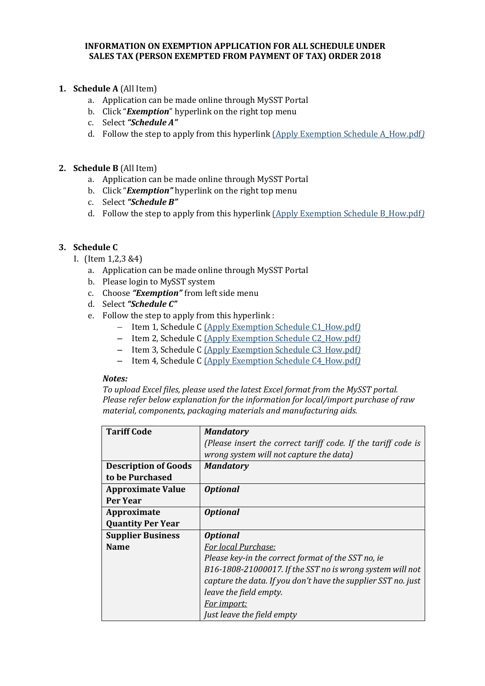#### **INFORMATION ON EXEMPTION APPLICATION FOR ALL SCHEDULE UNDER SALES TAX (PERSON EXEMPTED FROM PAYMENT OF TAX) ORDER 2018**

## **1. Schedule A** (All Item)

- a. Application can be made online through MySST Portal
- b. Click "*Exemption*" hyperlink on the right top menu
- c. Select *"Schedule A"*
- d. Follow the step to apply from this hyperlink (Apply Exemption Schedule A\_How.pdf*)*

#### **2. Schedule B** (All Item)

- a. Application can be made online through MySST Portal
- b. Click "*Exemption"* hyperlink on the right top menu
- c. Select *"Schedule B"*
- d. Follow the step to apply from this hyperlink (Apply Exemption Schedule B\_How.pdf*)*

### **3. Schedule C**

- I. (Item 1,2,3 &4)
	- a. Application can be made online through MySST Portal
	- b. Please login to MySST system
	- c. Choose *"Exemption"* from left side menu
	- d. Select *"Schedule C"*
	- e. Follow the step to apply from this hyperlink :
		- Item 1, Schedule C (Apply Exemption Schedule C1\_How.pdf*)*
		- Item 2, Schedule C (Apply Exemption Schedule C2\_How.pdf*)*
		- Item 3, Schedule C (Apply Exemption Schedule C3\_How.pdf*)*
		- Item 4, Schedule C (Apply Exemption Schedule C4\_How.pdf*)*

#### *Notes:*

*To upload Excel files, please used the latest Excel format from the MySST portal. Please refer below explanation for the information for local/import purchase of raw material, components, packaging materials and manufacturing aids.*

| <b>Tariff Code</b>          | <b>Mandatory</b>                                              |
|-----------------------------|---------------------------------------------------------------|
|                             | (Please insert the correct tariff code. If the tariff code is |
|                             | wrong system will not capture the data)                       |
| <b>Description of Goods</b> | <b>Mandatory</b>                                              |
| to be Purchased             |                                                               |
| <b>Approximate Value</b>    | <b>Optional</b>                                               |
| Per Year                    |                                                               |
| Approximate                 | <b>Optional</b>                                               |
| <b>Quantity Per Year</b>    |                                                               |
| <b>Supplier Business</b>    | <i><b>Optional</b></i>                                        |
| <b>Name</b>                 | For local Purchase:                                           |
|                             | Please key-in the correct format of the SST no, ie            |
|                             | B16-1808-21000017. If the SST no is wrong system will not     |
|                             | capture the data. If you don't have the supplier SST no. just |
|                             | leave the field empty.                                        |
|                             | <u>For import:</u>                                            |
|                             | Just leave the field empty                                    |